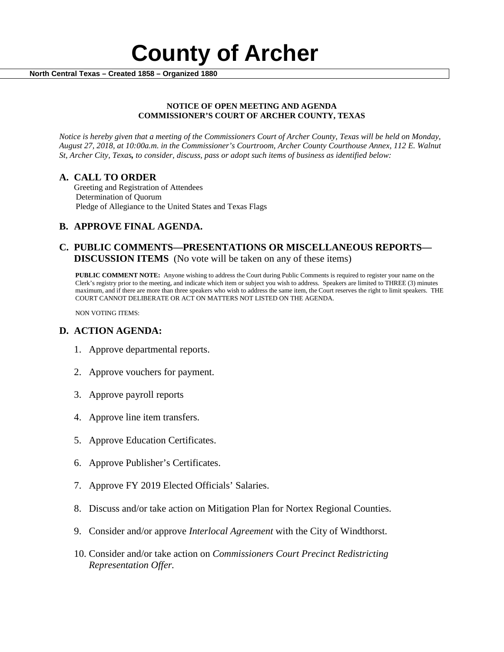

### **NOTICE OF OPEN MEETING AND AGENDA COMMISSIONER'S COURT OF ARCHER COUNTY, TEXAS**

*Notice is hereby given that a meeting of the Commissioners Court of Archer County, Texas will be held on Monday, August 27, 2018, at 10:00a.m. in the Commissioner's Courtroom, Archer County Courthouse Annex, 112 E. Walnut St, Archer City, Texas, to consider, discuss, pass or adopt such items of business as identified below:*

**A. CALL TO ORDER** Greeting and Registration of Attendees Determination of Quorum Pledge of Allegiance to the United States and Texas Flags

# **B. APPROVE FINAL AGENDA.**

# **C. PUBLIC COMMENTS—PRESENTATIONS OR MISCELLANEOUS REPORTS— DISCUSSION ITEMS** (No vote will be taken on any of these items)

**PUBLIC COMMENT NOTE:** Anyone wishing to address the Court during Public Comments is required to register your name on the Clerk's registry prior to the meeting, and indicate which item or subject you wish to address. Speakers are limited to THREE (3) minutes maximum, and if there are more than three speakers who wish to address the same item, the Court reserves the right to limit speakers. THE COURT CANNOT DELIBERATE OR ACT ON MATTERS NOT LISTED ON THE AGENDA.

NON VOTING ITEMS:

## **D. ACTION AGENDA:**

- 1. Approve departmental reports.
- 2. Approve vouchers for payment.
- 3. Approve payroll reports
- 4. Approve line item transfers.
- 5. Approve Education Certificates.
- 6. Approve Publisher's Certificates.
- 7. Approve FY 2019 Elected Officials' Salaries.
- 8. Discuss and/or take action on Mitigation Plan for Nortex Regional Counties.
- 9. Consider and/or approve *Interlocal Agreement* with the City of Windthorst.
- 10. Consider and/or take action on *Commissioners Court Precinct Redistricting Representation Offer.*